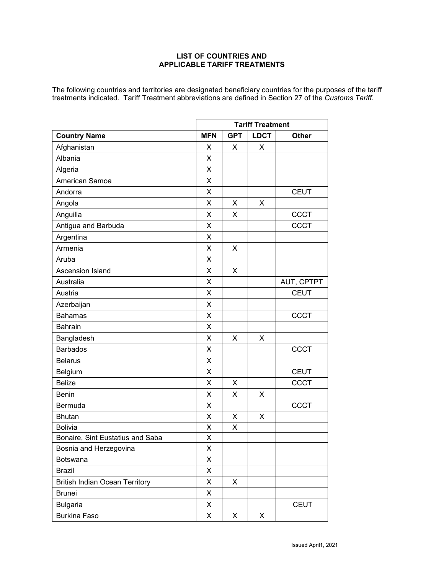## **LIST OF COUNTRIES AND APPLICABLE TARIFF TREATMENTS**

The following countries and territories are designated beneficiary countries for the purposes of the tariff treatments indicated. Tariff Treatment abbreviations are defined in Section 27 of the *Customs Tariff*.

|                                       | <b>Tariff Treatment</b> |            |             |              |
|---------------------------------------|-------------------------|------------|-------------|--------------|
| <b>Country Name</b>                   | <b>MFN</b>              | <b>GPT</b> | <b>LDCT</b> | <b>Other</b> |
| Afghanistan                           | X                       | X          | X           |              |
| Albania                               | X                       |            |             |              |
| Algeria                               | X                       |            |             |              |
| American Samoa                        | X                       |            |             |              |
| Andorra                               | X                       |            |             | <b>CEUT</b>  |
| Angola                                | X                       | X          | X           |              |
| Anguilla                              | X                       | X          |             | <b>CCCT</b>  |
| Antigua and Barbuda                   | X                       |            |             | <b>CCCT</b>  |
| Argentina                             | X                       |            |             |              |
| Armenia                               | X                       | X          |             |              |
| Aruba                                 | X                       |            |             |              |
| Ascension Island                      | X                       | X          |             |              |
| Australia                             | X                       |            |             | AUT, CPTPT   |
| Austria                               | X                       |            |             | <b>CEUT</b>  |
| Azerbaijan                            | X                       |            |             |              |
| <b>Bahamas</b>                        | X                       |            |             | <b>CCCT</b>  |
| Bahrain                               | X                       |            |             |              |
| Bangladesh                            | X                       | X          | X           |              |
| <b>Barbados</b>                       | X                       |            |             | <b>CCCT</b>  |
| <b>Belarus</b>                        | X                       |            |             |              |
| Belgium                               | X                       |            |             | <b>CEUT</b>  |
| <b>Belize</b>                         | X                       | X          |             | <b>CCCT</b>  |
| Benin                                 | X                       | X          | X           |              |
| Bermuda                               | X                       |            |             | <b>CCCT</b>  |
| <b>Bhutan</b>                         | X                       | X          | X           |              |
| <b>Bolivia</b>                        | X                       | X          |             |              |
| Bonaire, Sint Eustatius and Saba      | X                       |            |             |              |
| Bosnia and Herzegovina                | Χ                       |            |             |              |
| Botswana                              | X                       |            |             |              |
| <b>Brazil</b>                         | X                       |            |             |              |
| <b>British Indian Ocean Territory</b> | X                       | X          |             |              |
| <b>Brunei</b>                         | X                       |            |             |              |
| <b>Bulgaria</b>                       | X                       |            |             | <b>CEUT</b>  |
| <b>Burkina Faso</b>                   | X                       | X          | X           |              |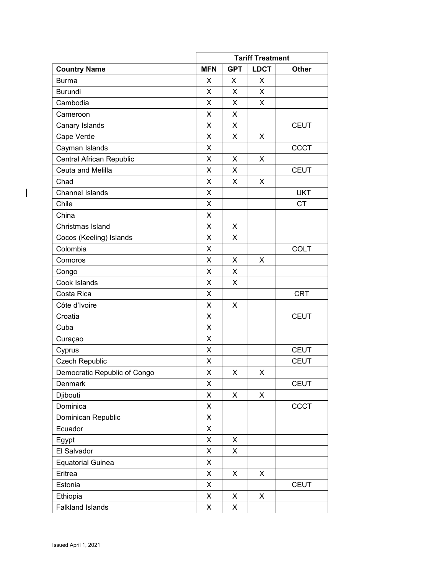|                              |            | <b>Tariff Treatment</b> |             |              |
|------------------------------|------------|-------------------------|-------------|--------------|
| <b>Country Name</b>          | <b>MFN</b> | <b>GPT</b>              | <b>LDCT</b> | <b>Other</b> |
| <b>Burma</b>                 | X          | X                       | X           |              |
| <b>Burundi</b>               | X          | X                       | X           |              |
| Cambodia                     | X          | X                       | X           |              |
| Cameroon                     | X          | X                       |             |              |
| Canary Islands               | X          | X                       |             | <b>CEUT</b>  |
| Cape Verde                   | X          | X                       | X           |              |
| Cayman Islands               | X          |                         |             | <b>CCCT</b>  |
| Central African Republic     | X          | X                       | X           |              |
| Ceuta and Melilla            | X          | X                       |             | <b>CEUT</b>  |
| Chad                         | X          | X                       | X           |              |
| <b>Channel Islands</b>       | X          |                         |             | <b>UKT</b>   |
| Chile                        | X          |                         |             | <b>CT</b>    |
| China                        | X          |                         |             |              |
| Christmas Island             | X          | X                       |             |              |
| Cocos (Keeling) Islands      | X          | X                       |             |              |
| Colombia                     | X          |                         |             | <b>COLT</b>  |
| Comoros                      | X          | X                       | X           |              |
| Congo                        | X          | X                       |             |              |
| Cook Islands                 | X          | X                       |             |              |
| Costa Rica                   | X          |                         |             | <b>CRT</b>   |
| Côte d'Ivoire                | X          | X                       |             |              |
| Croatia                      | X          |                         |             | <b>CEUT</b>  |
| Cuba                         | X          |                         |             |              |
| Curaçao                      | X          |                         |             |              |
| Cyprus                       | X          |                         |             | <b>CEUT</b>  |
| Czech Republic               | X          |                         |             | <b>CEUT</b>  |
| Democratic Republic of Congo | X          | X                       | X           |              |
| Denmark                      | X          |                         |             | <b>CEUT</b>  |
| Djibouti                     | X          | X                       | X           |              |
| Dominica                     | X          |                         |             | <b>CCCT</b>  |
| Dominican Republic           | X          |                         |             |              |
| Ecuador                      | X          |                         |             |              |
| Egypt                        | X          | X                       |             |              |
| El Salvador                  | X          | X                       |             |              |
| <b>Equatorial Guinea</b>     | X          |                         |             |              |
| Eritrea                      | X          | X                       | X           |              |
| Estonia                      | X          |                         |             | <b>CEUT</b>  |
| Ethiopia                     | X          | X                       | X           |              |
| <b>Falkland Islands</b>      | X          | X                       |             |              |

 $\overline{\mathbf{I}}$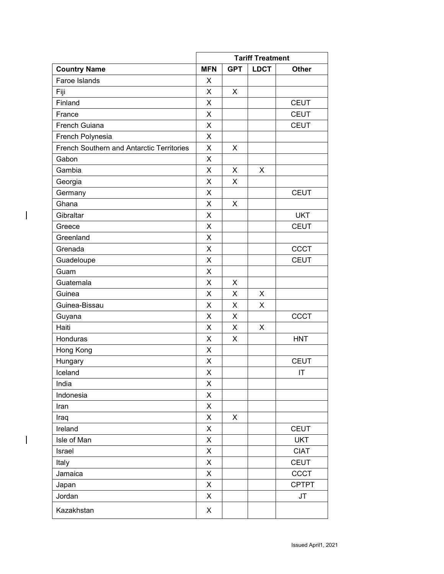|                                                  | <b>Tariff Treatment</b> |            |             |              |
|--------------------------------------------------|-------------------------|------------|-------------|--------------|
| <b>Country Name</b>                              | <b>MFN</b>              | <b>GPT</b> | <b>LDCT</b> | <b>Other</b> |
| Faroe Islands                                    | X                       |            |             |              |
| Fiji                                             | X                       | X          |             |              |
| Finland                                          | X                       |            |             | <b>CEUT</b>  |
| France                                           | X                       |            |             | <b>CEUT</b>  |
| French Guiana                                    | X                       |            |             | <b>CEUT</b>  |
| French Polynesia                                 | X                       |            |             |              |
| <b>French Southern and Antarctic Territories</b> | X                       | X          |             |              |
| Gabon                                            | X                       |            |             |              |
| Gambia                                           | X                       | X          | X           |              |
| Georgia                                          | X                       | X          |             |              |
| Germany                                          | X                       |            |             | <b>CEUT</b>  |
| Ghana                                            | X                       | X          |             |              |
| Gibraltar                                        | X                       |            |             | <b>UKT</b>   |
| Greece                                           | X                       |            |             | <b>CEUT</b>  |
| Greenland                                        | X                       |            |             |              |
| Grenada                                          | X                       |            |             | <b>CCCT</b>  |
| Guadeloupe                                       | X                       |            |             | <b>CEUT</b>  |
| Guam                                             | X                       |            |             |              |
| Guatemala                                        | X                       | X          |             |              |
| Guinea                                           | X                       | X          | X           |              |
| Guinea-Bissau                                    | X                       | X          | X           |              |
| Guyana                                           | X                       | X          |             | <b>CCCT</b>  |
| Haiti                                            | X                       | X          | X           |              |
| Honduras                                         | X                       | X          |             | <b>HNT</b>   |
| Hong Kong                                        | X                       |            |             |              |
| Hungary                                          | X                       |            |             | <b>CEUT</b>  |
| Iceland                                          | X                       |            |             | IT           |
| India                                            | X                       |            |             |              |
| Indonesia                                        | X                       |            |             |              |
| Iran                                             | X                       |            |             |              |
| Iraq                                             | X                       | X          |             |              |
| Ireland                                          | X                       |            |             | <b>CEUT</b>  |
| Isle of Man                                      | X                       |            |             | <b>UKT</b>   |
| Israel                                           | X                       |            |             | <b>CIAT</b>  |
| Italy                                            | X                       |            |             | <b>CEUT</b>  |
| Jamaica                                          | X                       |            |             | CCCT         |
| Japan                                            | X                       |            |             | <b>CPTPT</b> |
| Jordan                                           | X                       |            |             | JT           |
| Kazakhstan                                       | X                       |            |             |              |

 $\mathbf{I}$ 

 $\overline{\phantom{a}}$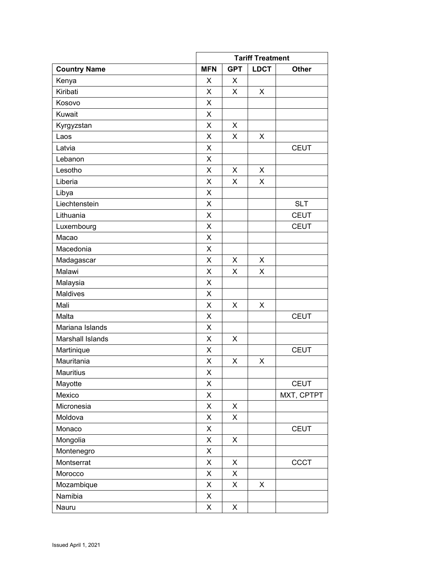|                     |            | <b>Tariff Treatment</b> |             |              |
|---------------------|------------|-------------------------|-------------|--------------|
| <b>Country Name</b> | <b>MFN</b> | <b>GPT</b>              | <b>LDCT</b> | <b>Other</b> |
| Kenya               | X          | X                       |             |              |
| Kiribati            | X          | X                       | X           |              |
| Kosovo              | X          |                         |             |              |
| Kuwait              | X          |                         |             |              |
| Kyrgyzstan          | X          | X                       |             |              |
| Laos                | X          | X                       | X           |              |
| Latvia              | X          |                         |             | <b>CEUT</b>  |
| Lebanon             | X          |                         |             |              |
| Lesotho             | X          | X                       | X           |              |
| Liberia             | X          | X                       | X           |              |
| Libya               | X          |                         |             |              |
| Liechtenstein       | X          |                         |             | <b>SLT</b>   |
| Lithuania           | X          |                         |             | <b>CEUT</b>  |
| Luxembourg          | X          |                         |             | <b>CEUT</b>  |
| Macao               | X          |                         |             |              |
| Macedonia           | X          |                         |             |              |
| Madagascar          | X          | X                       | X           |              |
| Malawi              | X          | X                       | X           |              |
| Malaysia            | X          |                         |             |              |
| <b>Maldives</b>     | X          |                         |             |              |
| Mali                | X          | X                       | X           |              |
| Malta               | X          |                         |             | <b>CEUT</b>  |
| Mariana Islands     | X          |                         |             |              |
| Marshall Islands    | X          | X                       |             |              |
| Martinique          | X          |                         |             | <b>CEUT</b>  |
| Mauritania          | Χ          | X                       | X           |              |
| <b>Mauritius</b>    | X          |                         |             |              |
| Mayotte             | Χ          |                         |             | <b>CEUT</b>  |
| Mexico              | X          |                         |             | MXT, CPTPT   |
| Micronesia          | X          | X                       |             |              |
| Moldova             | X          | X                       |             |              |
| Monaco              | Χ          |                         |             | <b>CEUT</b>  |
| Mongolia            | X          | X                       |             |              |
| Montenegro          | X          |                         |             |              |
| Montserrat          | Χ          | X                       |             | CCCT         |
| Morocco             | X          | X                       |             |              |
| Mozambique          | X          | X                       | X           |              |
| Namibia             | X          |                         |             |              |
| Nauru               | X          | X                       |             |              |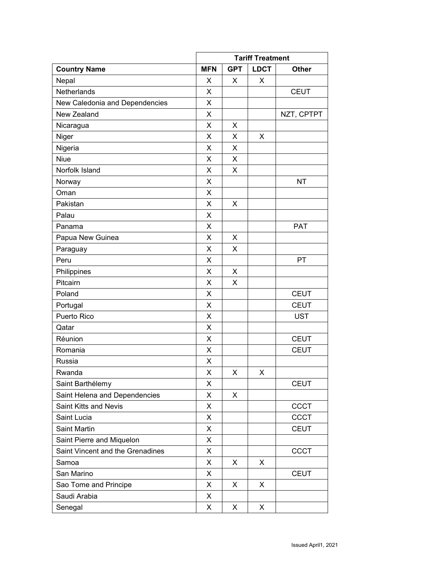|                                  |            | <b>Tariff Treatment</b> |             |              |
|----------------------------------|------------|-------------------------|-------------|--------------|
| <b>Country Name</b>              | <b>MFN</b> | <b>GPT</b>              | <b>LDCT</b> | <b>Other</b> |
| Nepal                            | X          | X                       | X           |              |
| Netherlands                      | X          |                         |             | <b>CEUT</b>  |
| New Caledonia and Dependencies   | X          |                         |             |              |
| New Zealand                      | X          |                         |             | NZT, CPTPT   |
| Nicaragua                        | X          | X                       |             |              |
| Niger                            | X          | X                       | X           |              |
| Nigeria                          | X          | X                       |             |              |
| <b>Niue</b>                      | X          | X                       |             |              |
| Norfolk Island                   | X          | X                       |             |              |
| Norway                           | X          |                         |             | <b>NT</b>    |
| Oman                             | X          |                         |             |              |
| Pakistan                         | X          | X                       |             |              |
| Palau                            | X          |                         |             |              |
| Panama                           | X          |                         |             | <b>PAT</b>   |
| Papua New Guinea                 | X          | X                       |             |              |
| Paraguay                         | X          | X                       |             |              |
| Peru                             | X          |                         |             | <b>PT</b>    |
| Philippines                      | X          | X                       |             |              |
| Pitcairn                         | X          | X                       |             |              |
| Poland                           | X          |                         |             | <b>CEUT</b>  |
| Portugal                         | X          |                         |             | <b>CEUT</b>  |
| Puerto Rico                      | X          |                         |             | <b>UST</b>   |
| Qatar                            | X          |                         |             |              |
| Réunion                          | X          |                         |             | <b>CEUT</b>  |
| Romania                          | X          |                         |             | <b>CEUT</b>  |
| Russia                           | х          |                         |             |              |
| Rwanda                           | Χ          | X                       | X           |              |
| Saint Barthélemy                 | х          |                         |             | <b>CEUT</b>  |
| Saint Helena and Dependencies    | X          | X                       |             |              |
| Saint Kitts and Nevis            | X          |                         |             | CCCT         |
| Saint Lucia                      | X          |                         |             | <b>CCCT</b>  |
| <b>Saint Martin</b>              | X          |                         |             | <b>CEUT</b>  |
| Saint Pierre and Miquelon        | X          |                         |             |              |
| Saint Vincent and the Grenadines | X          |                         |             | CCCT         |
| Samoa                            | X          | X                       | X           |              |
| San Marino                       | X          |                         |             | <b>CEUT</b>  |
| Sao Tome and Principe            | X          | X                       | X           |              |
| Saudi Arabia                     | X          |                         |             |              |
| Senegal                          | X          | X                       | X           |              |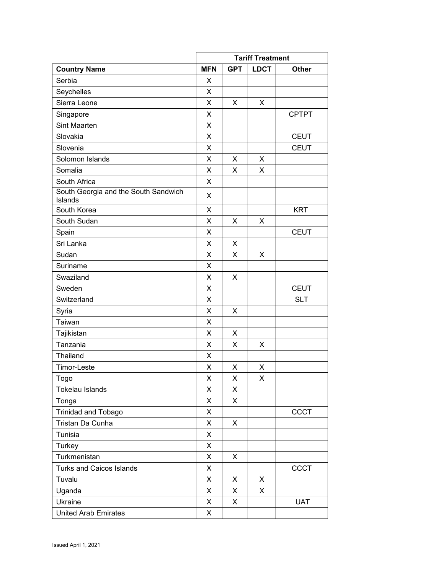|                                                 | <b>Tariff Treatment</b> |            |                    |              |
|-------------------------------------------------|-------------------------|------------|--------------------|--------------|
| <b>Country Name</b>                             | <b>MFN</b>              | <b>GPT</b> | <b>LDCT</b>        | <b>Other</b> |
| Serbia                                          | X                       |            |                    |              |
| Seychelles                                      | X                       |            |                    |              |
| Sierra Leone                                    | X                       | X          | X                  |              |
| Singapore                                       | X                       |            |                    | <b>CPTPT</b> |
| Sint Maarten                                    | X                       |            |                    |              |
| Slovakia                                        | X                       |            |                    | <b>CEUT</b>  |
| Slovenia                                        | X                       |            |                    | <b>CEUT</b>  |
| Solomon Islands                                 | X                       | X          | X                  |              |
| Somalia                                         | X                       | X          | X                  |              |
| South Africa                                    | X                       |            |                    |              |
| South Georgia and the South Sandwich<br>Islands | X                       |            |                    |              |
| South Korea                                     | X                       |            |                    | <b>KRT</b>   |
| South Sudan                                     | X                       | X          | X                  |              |
| Spain                                           | X                       |            |                    | <b>CEUT</b>  |
| Sri Lanka                                       | X                       | X          |                    |              |
| Sudan                                           | X                       | X          | X                  |              |
| Suriname                                        | X                       |            |                    |              |
| Swaziland                                       | X                       | X          |                    |              |
| Sweden                                          | X                       |            |                    | <b>CEUT</b>  |
| Switzerland                                     | X                       |            |                    | <b>SLT</b>   |
| Syria                                           | X                       | X          |                    |              |
| Taiwan                                          | X                       |            |                    |              |
| Tajikistan                                      | X                       | X          |                    |              |
| Tanzania                                        | X                       | X          | X                  |              |
| Thailand                                        | X                       |            |                    |              |
| Timor-Leste                                     | X                       | X          | X                  |              |
| Togo                                            | X                       | X          | $\pmb{\mathsf{X}}$ |              |
| Tokelau Islands                                 | X                       | X          |                    |              |
| Tonga                                           | X                       | X          |                    |              |
| <b>Trinidad and Tobago</b>                      | X                       |            |                    | <b>CCCT</b>  |
| Tristan Da Cunha                                | X                       | X          |                    |              |
| Tunisia                                         | X                       |            |                    |              |
| Turkey                                          | X                       |            |                    |              |
| Turkmenistan                                    | X                       | X          |                    |              |
| <b>Turks and Caicos Islands</b>                 | X                       |            |                    | <b>CCCT</b>  |
| Tuvalu                                          | X                       | X          | X                  |              |
| Uganda                                          | X                       | X          | X                  |              |
| Ukraine                                         | X                       | X          |                    | <b>UAT</b>   |
| <b>United Arab Emirates</b>                     | X                       |            |                    |              |